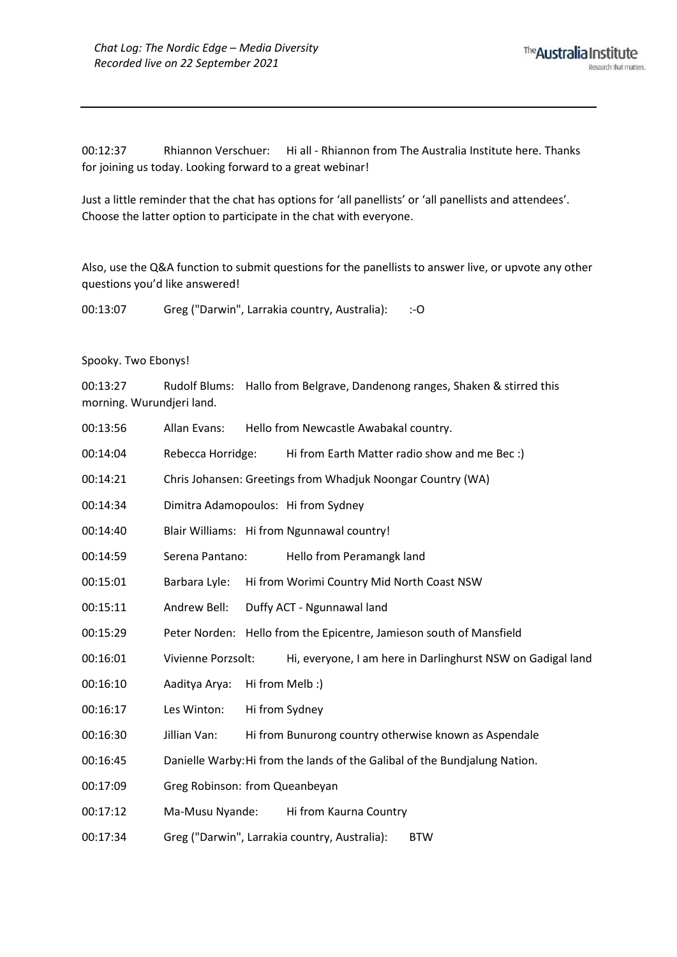00:12:37 Rhiannon Verschuer: Hi all - Rhiannon from The Australia Institute here. Thanks for joining us today. Looking forward to a great webinar!

Just a little reminder that the chat has options for 'all panellists' or 'all panellists and attendees'. Choose the latter option to participate in the chat with everyone.

Also, use the Q&A function to submit questions for the panellists to answer live, or upvote any other questions you'd like answered!

00:13:07 Greg ("Darwin", Larrakia country, Australia): :-O

## Spooky. Two Ebonys!

00:13:27 Rudolf Blums: Hallo from Belgrave, Dandenong ranges, Shaken & stirred this morning. Wurundjeri land.

00:13:56 Allan Evans: Hello from Newcastle Awabakal country. 00:14:04 Rebecca Horridge: Hi from Earth Matter radio show and me Bec :) 00:14:21 Chris Johansen: Greetings from Whadjuk Noongar Country (WA) 00:14:34 Dimitra Adamopoulos: Hi from Sydney 00:14:40 Blair Williams: Hi from Ngunnawal country! 00:14:59 Serena Pantano: Hello from Peramangk land 00:15:01 Barbara Lyle: Hi from Worimi Country Mid North Coast NSW 00:15:11 Andrew Bell: Duffy ACT - Ngunnawal land 00:15:29 Peter Norden: Hello from the Epicentre, Jamieson south of Mansfield 00:16:01 Vivienne Porzsolt: Hi, everyone, I am here in Darlinghurst NSW on Gadigal land 00:16:10 Aaditya Arya: Hi from Melb :) 00:16:17 Les Winton: Hi from Sydney 00:16:30 Jillian Van: Hi from Bunurong country otherwise known as Aspendale 00:16:45 Danielle Warby:Hi from the lands of the Galibal of the Bundjalung Nation. 00:17:09 Greg Robinson: from Queanbeyan 00:17:12 Ma-Musu Nyande: Hi from Kaurna Country 00:17:34 Greg ("Darwin", Larrakia country, Australia): BTW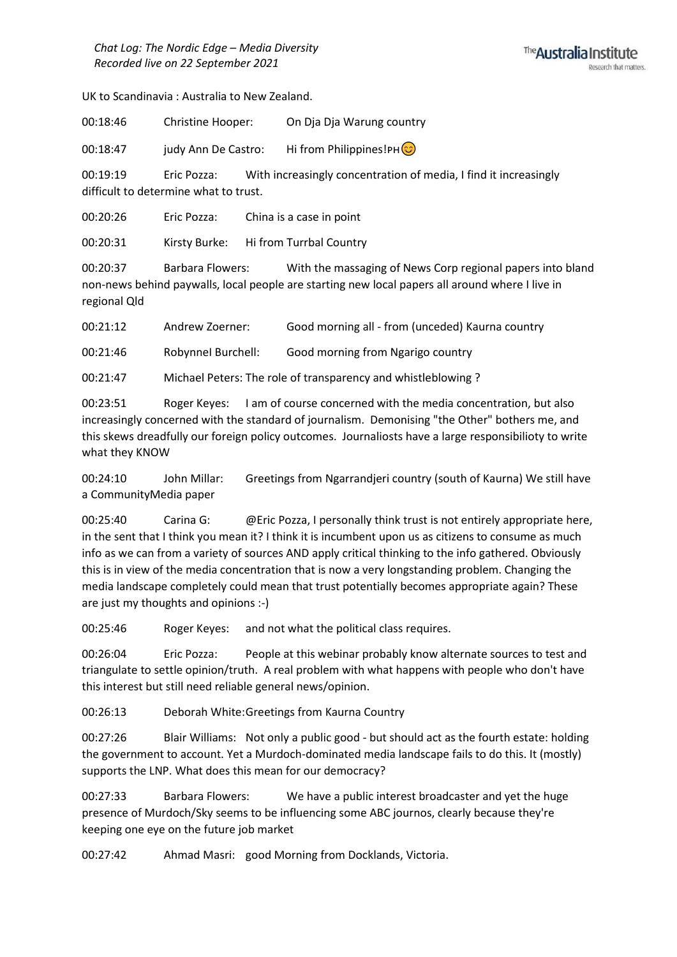UK to Scandinavia : Australia to New Zealand.

00:18:46 Christine Hooper: On Dja Dja Warung country

00:18:47 judy Ann De Castro: Hi from Philippines!PH $\circled{c}$ 

00:19:19 Eric Pozza: With increasingly concentration of media, I find it increasingly difficult to determine what to trust.

00:20:26 Eric Pozza: China is a case in point

00:20:31 Kirsty Burke: Hi from Turrbal Country

00:20:37 Barbara Flowers: With the massaging of News Corp regional papers into bland non-news behind paywalls, local people are starting new local papers all around where I live in regional Qld

00:21:12 Andrew Zoerner: Good morning all - from (unceded) Kaurna country

00:21:46 RobynneI Burchell: Good morning from Ngarigo country

00:21:47 Michael Peters: The role of transparency and whistleblowing ?

00:23:51 Roger Keyes: I am of course concerned with the media concentration, but also increasingly concerned with the standard of journalism. Demonising "the Other" bothers me, and this skews dreadfully our foreign policy outcomes. Journaliosts have a large responsibilioty to write what they KNOW

00:24:10 John Millar: Greetings from Ngarrandjeri country (south of Kaurna) We still have a CommunityMedia paper

00:25:40 Carina G: @Eric Pozza, I personally think trust is not entirely appropriate here, in the sent that I think you mean it? I think it is incumbent upon us as citizens to consume as much info as we can from a variety of sources AND apply critical thinking to the info gathered. Obviously this is in view of the media concentration that is now a very longstanding problem. Changing the media landscape completely could mean that trust potentially becomes appropriate again? These are just my thoughts and opinions :-)

00:25:46 Roger Keyes: and not what the political class requires.

00:26:04 Eric Pozza: People at this webinar probably know alternate sources to test and triangulate to settle opinion/truth. A real problem with what happens with people who don't have this interest but still need reliable general news/opinion.

00:26:13 Deborah White:Greetings from Kaurna Country

00:27:26 Blair Williams: Not only a public good - but should act as the fourth estate: holding the government to account. Yet a Murdoch-dominated media landscape fails to do this. It (mostly) supports the LNP. What does this mean for our democracy?

00:27:33 Barbara Flowers: We have a public interest broadcaster and yet the huge presence of Murdoch/Sky seems to be influencing some ABC journos, clearly because they're keeping one eye on the future job market

00:27:42 Ahmad Masri: good Morning from Docklands, Victoria.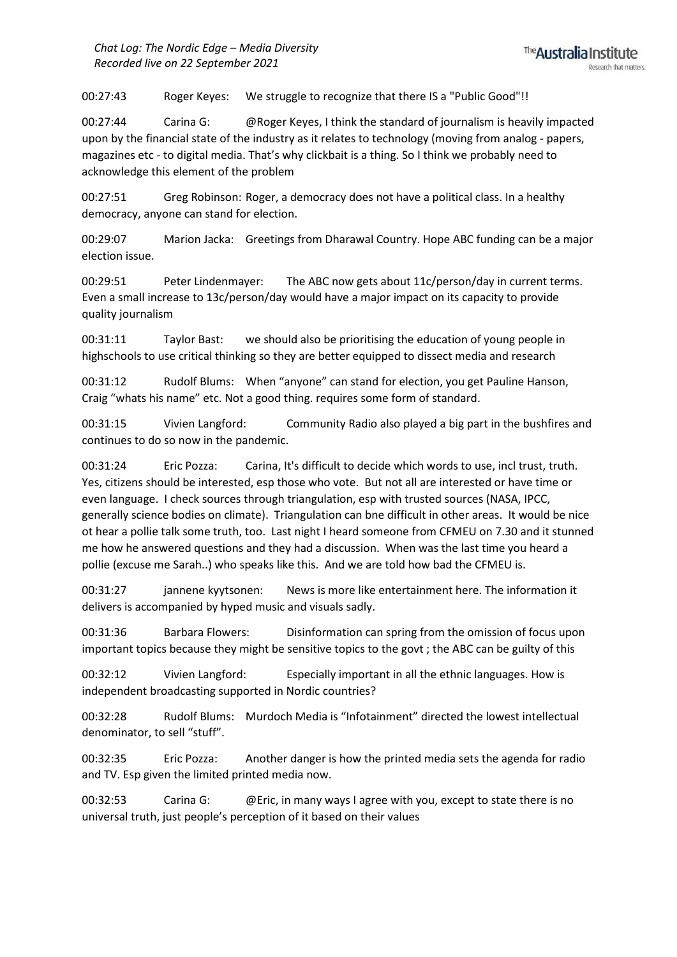00:27:43 Roger Keyes: We struggle to recognize that there IS a "Public Good"!!

00:27:44 Carina G: @Roger Keyes, I think the standard of journalism is heavily impacted upon by the financial state of the industry as it relates to technology (moving from analog - papers, magazines etc - to digital media. That's why clickbait is a thing. So I think we probably need to acknowledge this element of the problem

00:27:51 Greg Robinson: Roger, a democracy does not have a political class. In a healthy democracy, anyone can stand for election.

00:29:07 Marion Jacka: Greetings from Dharawal Country. Hope ABC funding can be a major election issue.

00:29:51 Peter Lindenmayer: The ABC now gets about 11c/person/day in current terms. Even a small increase to 13c/person/day would have a major impact on its capacity to provide quality journalism

00:31:11 Taylor Bast: we should also be prioritising the education of young people in highschools to use critical thinking so they are better equipped to dissect media and research

00:31:12 Rudolf Blums: When "anyone" can stand for election, you get Pauline Hanson, Craig "whats his name" etc. Not a good thing. requires some form of standard.

00:31:15 Vivien Langford: Community Radio also played a big part in the bushfires and continues to do so now in the pandemic.

00:31:24 Eric Pozza: Carina, It's difficult to decide which words to use, incl trust, truth. Yes, citizens should be interested, esp those who vote. But not all are interested or have time or even language. I check sources through triangulation, esp with trusted sources (NASA, IPCC, generally science bodies on climate). Triangulation can bne difficult in other areas. It would be nice ot hear a pollie talk some truth, too. Last night I heard someone from CFMEU on 7.30 and it stunned me how he answered questions and they had a discussion. When was the last time you heard a pollie (excuse me Sarah..) who speaks like this. And we are told how bad the CFMEU is.

00:31:27 jannene kyytsonen: News is more like entertainment here. The information it delivers is accompanied by hyped music and visuals sadly.

00:31:36 Barbara Flowers: Disinformation can spring from the omission of focus upon important topics because they might be sensitive topics to the govt ; the ABC can be guilty of this

00:32:12 Vivien Langford: Especially important in all the ethnic languages. How is independent broadcasting supported in Nordic countries?

00:32:28 Rudolf Blums: Murdoch Media is "Infotainment" directed the lowest intellectual denominator, to sell "stuff".

00:32:35 Eric Pozza: Another danger is how the printed media sets the agenda for radio and TV. Esp given the limited printed media now.

00:32:53 Carina G: @Eric, in many ways I agree with you, except to state there is no universal truth, just people's perception of it based on their values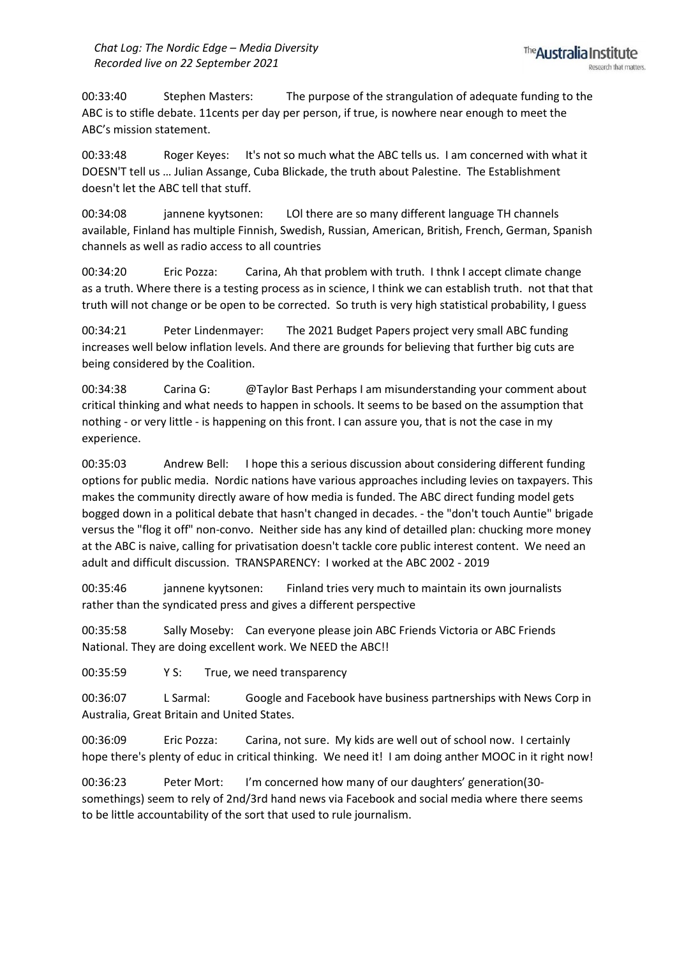00:33:40 Stephen Masters: The purpose of the strangulation of adequate funding to the ABC is to stifle debate. 11cents per day per person, if true, is nowhere near enough to meet the ABC's mission statement.

00:33:48 Roger Keyes: It's not so much what the ABC tells us. I am concerned with what it DOESN'T tell us … Julian Assange, Cuba Blickade, the truth about Palestine. The Establishment doesn't let the ABC tell that stuff.

00:34:08 jannene kyytsonen: LOl there are so many different language TH channels available, Finland has multiple Finnish, Swedish, Russian, American, British, French, German, Spanish channels as well as radio access to all countries

00:34:20 Eric Pozza: Carina, Ah that problem with truth. I thnk I accept climate change as a truth. Where there is a testing process as in science, I think we can establish truth. not that that truth will not change or be open to be corrected. So truth is very high statistical probability, I guess

00:34:21 Peter Lindenmayer: The 2021 Budget Papers project very small ABC funding increases well below inflation levels. And there are grounds for believing that further big cuts are being considered by the Coalition.

00:34:38 Carina G: @Taylor Bast Perhaps I am misunderstanding your comment about critical thinking and what needs to happen in schools. It seems to be based on the assumption that nothing - or very little - is happening on this front. I can assure you, that is not the case in my experience.

00:35:03 Andrew Bell: I hope this a serious discussion about considering different funding options for public media. Nordic nations have various approaches including levies on taxpayers. This makes the community directly aware of how media is funded. The ABC direct funding model gets bogged down in a political debate that hasn't changed in decades. - the "don't touch Auntie" brigade versus the "flog it off" non-convo. Neither side has any kind of detailled plan: chucking more money at the ABC is naive, calling for privatisation doesn't tackle core public interest content. We need an adult and difficult discussion. TRANSPARENCY: I worked at the ABC 2002 - 2019

00:35:46 jannene kyytsonen: Finland tries very much to maintain its own journalists rather than the syndicated press and gives a different perspective

00:35:58 Sally Moseby: Can everyone please join ABC Friends Victoria or ABC Friends National. They are doing excellent work. We NEED the ABC!!

00:35:59 Y S: True, we need transparency

00:36:07 L Sarmal: Google and Facebook have business partnerships with News Corp in Australia, Great Britain and United States.

00:36:09 Eric Pozza: Carina, not sure. My kids are well out of school now. I certainly hope there's plenty of educ in critical thinking. We need it! I am doing anther MOOC in it right now!

00:36:23 Peter Mort: I'm concerned how many of our daughters' generation(30 somethings) seem to rely of 2nd/3rd hand news via Facebook and social media where there seems to be little accountability of the sort that used to rule journalism.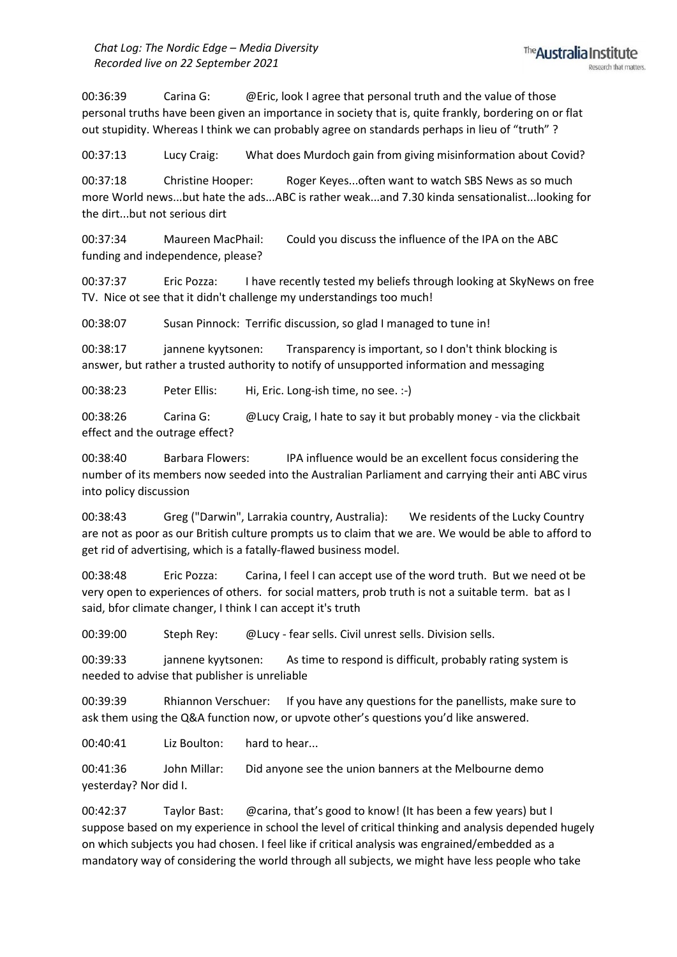00:36:39 Carina G: @Eric, look I agree that personal truth and the value of those personal truths have been given an importance in society that is, quite frankly, bordering on or flat out stupidity. Whereas I think we can probably agree on standards perhaps in lieu of "truth" ?

00:37:13 Lucy Craig: What does Murdoch gain from giving misinformation about Covid?

00:37:18 Christine Hooper: Roger Keyes...often want to watch SBS News as so much more World news...but hate the ads...ABC is rather weak...and 7.30 kinda sensationalist...looking for the dirt...but not serious dirt

00:37:34 Maureen MacPhail: Could you discuss the influence of the IPA on the ABC funding and independence, please?

00:37:37 Eric Pozza: I have recently tested my beliefs through looking at SkyNews on free TV. Nice ot see that it didn't challenge my understandings too much!

00:38:07 Susan Pinnock: Terrific discussion, so glad I managed to tune in!

00:38:17 jannene kyytsonen: Transparency is important, so I don't think blocking is answer, but rather a trusted authority to notify of unsupported information and messaging

00:38:23 Peter Ellis: Hi, Eric. Long-ish time, no see. :-)

00:38:26 Carina G: @Lucy Craig, I hate to say it but probably money - via the clickbait effect and the outrage effect?

00:38:40 Barbara Flowers: IPA influence would be an excellent focus considering the number of its members now seeded into the Australian Parliament and carrying their anti ABC virus into policy discussion

00:38:43 Greg ("Darwin", Larrakia country, Australia): We residents of the Lucky Country are not as poor as our British culture prompts us to claim that we are. We would be able to afford to get rid of advertising, which is a fatally-flawed business model.

00:38:48 Eric Pozza: Carina, I feel I can accept use of the word truth. But we need ot be very open to experiences of others. for social matters, prob truth is not a suitable term. bat as I said, bfor climate changer, I think I can accept it's truth

00:39:00 Steph Rey: @Lucy - fear sells. Civil unrest sells. Division sells.

00:39:33 jannene kyytsonen: As time to respond is difficult, probably rating system is needed to advise that publisher is unreliable

00:39:39 Rhiannon Verschuer: If you have any questions for the panellists, make sure to ask them using the Q&A function now, or upvote other's questions you'd like answered.

00:40:41 Liz Boulton: hard to hear...

00:41:36 John Millar: Did anyone see the union banners at the Melbourne demo yesterday? Nor did I.

00:42:37 Taylor Bast: @carina, that's good to know! (It has been a few years) but I suppose based on my experience in school the level of critical thinking and analysis depended hugely on which subjects you had chosen. I feel like if critical analysis was engrained/embedded as a mandatory way of considering the world through all subjects, we might have less people who take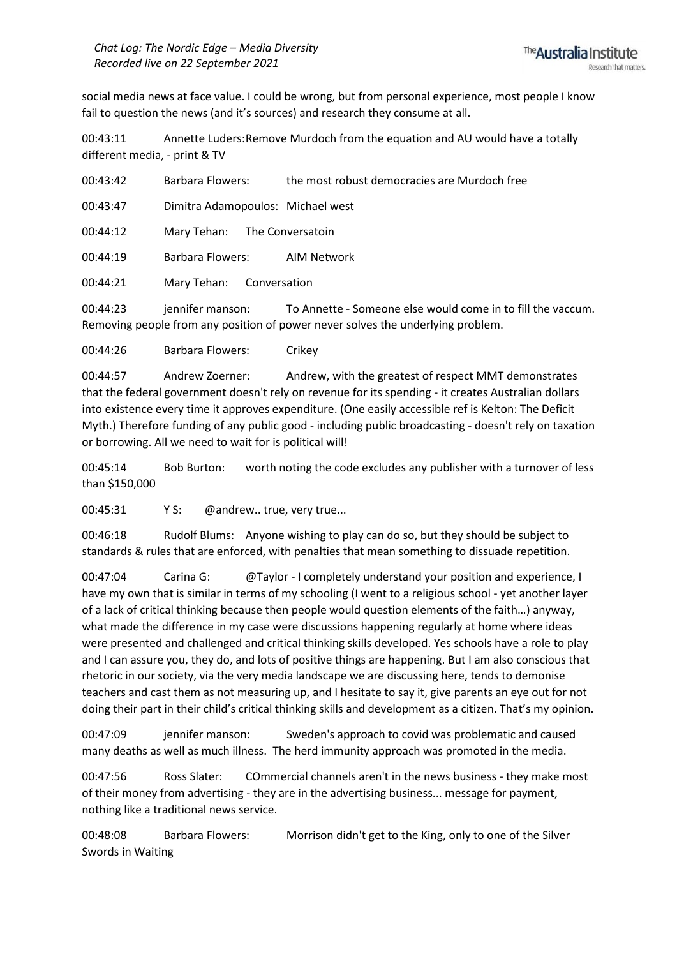social media news at face value. I could be wrong, but from personal experience, most people I know fail to question the news (and it's sources) and research they consume at all.

00:43:11 Annette Luders:Remove Murdoch from the equation and AU would have a totally different media, - print & TV

00:43:42 Barbara Flowers: the most robust democracies are Murdoch free

00:43:47 Dimitra Adamopoulos: Michael west

00:44:12 Mary Tehan: The Conversatoin

00:44:19 Barbara Flowers: AIM Network

00:44:21 Mary Tehan: Conversation

00:44:23 iennifer manson: To Annette - Someone else would come in to fill the vaccum. Removing people from any position of power never solves the underlying problem.

00:44:26 Barbara Flowers: Crikey

00:44:57 Andrew Zoerner: Andrew, with the greatest of respect MMT demonstrates that the federal government doesn't rely on revenue for its spending - it creates Australian dollars into existence every time it approves expenditure. (One easily accessible ref is Kelton: The Deficit Myth.) Therefore funding of any public good - including public broadcasting - doesn't rely on taxation or borrowing. All we need to wait for is political will!

00:45:14 Bob Burton: worth noting the code excludes any publisher with a turnover of less than \$150,000

00:45:31 Y S: @andrew.. true, very true...

00:46:18 Rudolf Blums: Anyone wishing to play can do so, but they should be subject to standards & rules that are enforced, with penalties that mean something to dissuade repetition.

00:47:04 Carina G: @Taylor - I completely understand your position and experience, I have my own that is similar in terms of my schooling (I went to a religious school - yet another layer of a lack of critical thinking because then people would question elements of the faith…) anyway, what made the difference in my case were discussions happening regularly at home where ideas were presented and challenged and critical thinking skills developed. Yes schools have a role to play and I can assure you, they do, and lots of positive things are happening. But I am also conscious that rhetoric in our society, via the very media landscape we are discussing here, tends to demonise teachers and cast them as not measuring up, and I hesitate to say it, give parents an eye out for not doing their part in their child's critical thinking skills and development as a citizen. That's my opinion.

00:47:09 jennifer manson: Sweden's approach to covid was problematic and caused many deaths as well as much illness. The herd immunity approach was promoted in the media.

00:47:56 Ross Slater: COmmercial channels aren't in the news business - they make most of their money from advertising - they are in the advertising business... message for payment, nothing like a traditional news service.

00:48:08 Barbara Flowers: Morrison didn't get to the King, only to one of the Silver Swords in Waiting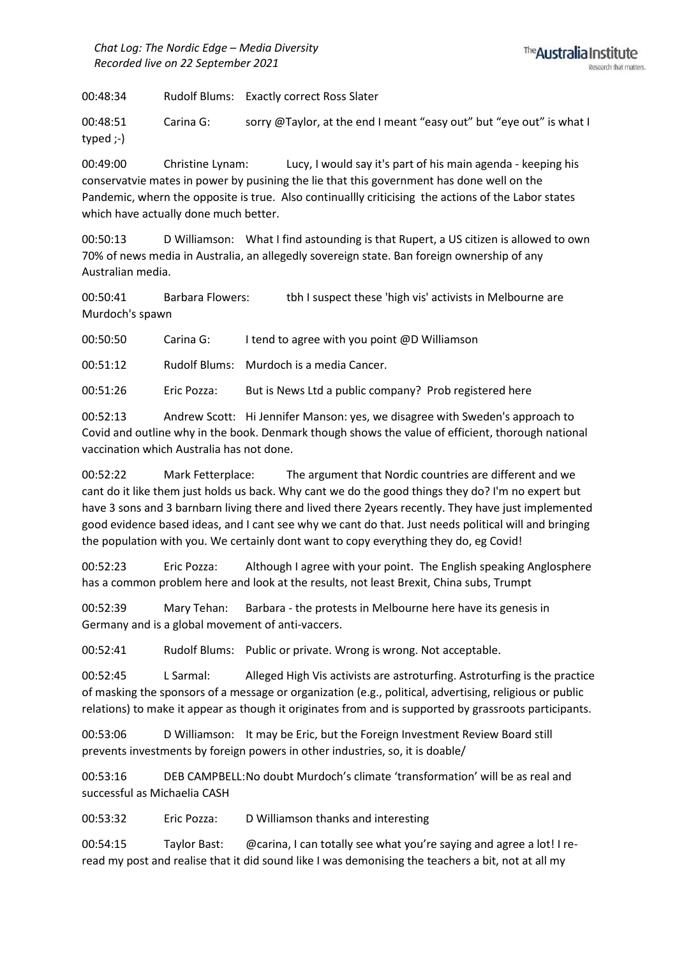*Chat Log: The Nordic Edge – Media Diversity Recorded live on 22 September 2021*

00:48:34 Rudolf Blums: Exactly correct Ross Slater

00:48:51 Carina G: sorry @Taylor, at the end I meant "easy out" but "eye out" is what I typed ;-)

00:49:00 Christine Lynam: Lucy, I would say it's part of his main agenda - keeping his conservatvie mates in power by pusining the lie that this government has done well on the Pandemic, whern the opposite is true. Also continuallly criticising the actions of the Labor states which have actually done much better.

00:50:13 D Williamson: What I find astounding is that Rupert, a US citizen is allowed to own 70% of news media in Australia, an allegedly sovereign state. Ban foreign ownership of any Australian media.

00:50:41 Barbara Flowers: tbh I suspect these 'high vis' activists in Melbourne are Murdoch's spawn

00:50:50 Carina G: I tend to agree with you point @D Williamson

00:51:12 Rudolf Blums: Murdoch is a media Cancer.

00:51:26 Eric Pozza: But is News Ltd a public company? Prob registered here

00:52:13 Andrew Scott: Hi Jennifer Manson: yes, we disagree with Sweden's approach to Covid and outline why in the book. Denmark though shows the value of efficient, thorough national vaccination which Australia has not done.

00:52:22 Mark Fetterplace: The argument that Nordic countries are different and we cant do it like them just holds us back. Why cant we do the good things they do? I'm no expert but have 3 sons and 3 barnbarn living there and lived there 2years recently. They have just implemented good evidence based ideas, and I cant see why we cant do that. Just needs political will and bringing the population with you. We certainly dont want to copy everything they do, eg Covid!

00:52:23 Eric Pozza: Although I agree with your point. The English speaking Anglosphere has a common problem here and look at the results, not least Brexit, China subs, Trumpt

00:52:39 Mary Tehan: Barbara - the protests in Melbourne here have its genesis in Germany and is a global movement of anti-vaccers.

00:52:41 Rudolf Blums: Public or private. Wrong is wrong. Not acceptable.

00:52:45 L Sarmal: Alleged High Vis activists are astroturfing. Astroturfing is the practice of masking the sponsors of a message or organization (e.g., political, advertising, religious or public relations) to make it appear as though it originates from and is supported by grassroots participants.

00:53:06 D Williamson: It may be Eric, but the Foreign Investment Review Board still prevents investments by foreign powers in other industries, so, it is doable/

00:53:16 DEB CAMPBELL:No doubt Murdoch's climate 'transformation' will be as real and successful as Michaelia CASH

00:53:32 Eric Pozza: D Williamson thanks and interesting

00:54:15 Taylor Bast: @carina, I can totally see what you're saying and agree a lot! I reread my post and realise that it did sound like I was demonising the teachers a bit, not at all my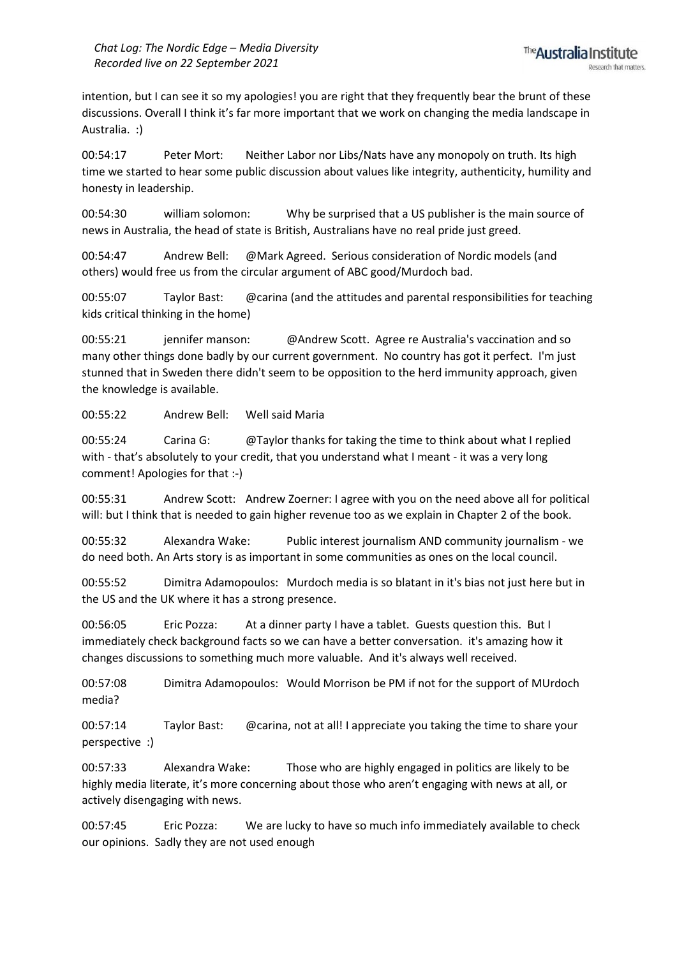intention, but I can see it so my apologies! you are right that they frequently bear the brunt of these discussions. Overall I think it's far more important that we work on changing the media landscape in Australia. :)

00:54:17 Peter Mort: Neither Labor nor Libs/Nats have any monopoly on truth. Its high time we started to hear some public discussion about values like integrity, authenticity, humility and honesty in leadership.

00:54:30 william solomon: Why be surprised that a US publisher is the main source of news in Australia, the head of state is British, Australians have no real pride just greed.

00:54:47 Andrew Bell: @Mark Agreed. Serious consideration of Nordic models (and others) would free us from the circular argument of ABC good/Murdoch bad.

00:55:07 Taylor Bast: @carina (and the attitudes and parental responsibilities for teaching kids critical thinking in the home)

00:55:21 jennifer manson: @Andrew Scott. Agree re Australia's vaccination and so many other things done badly by our current government. No country has got it perfect. I'm just stunned that in Sweden there didn't seem to be opposition to the herd immunity approach, given the knowledge is available.

00:55:22 Andrew Bell: Well said Maria

00:55:24 Carina G: @Taylor thanks for taking the time to think about what I replied with - that's absolutely to your credit, that you understand what I meant - it was a very long comment! Apologies for that :-)

00:55:31 Andrew Scott: Andrew Zoerner: I agree with you on the need above all for political will: but I think that is needed to gain higher revenue too as we explain in Chapter 2 of the book.

00:55:32 Alexandra Wake: Public interest journalism AND community journalism - we do need both. An Arts story is as important in some communities as ones on the local council.

00:55:52 Dimitra Adamopoulos: Murdoch media is so blatant in it's bias not just here but in the US and the UK where it has a strong presence.

00:56:05 Eric Pozza: At a dinner party I have a tablet. Guests question this. But I immediately check background facts so we can have a better conversation. it's amazing how it changes discussions to something much more valuable. And it's always well received.

00:57:08 Dimitra Adamopoulos: Would Morrison be PM if not for the support of MUrdoch media?

00:57:14 Taylor Bast: @carina, not at all! I appreciate you taking the time to share your perspective :)

00:57:33 Alexandra Wake: Those who are highly engaged in politics are likely to be highly media literate, it's more concerning about those who aren't engaging with news at all, or actively disengaging with news.

00:57:45 Eric Pozza: We are lucky to have so much info immediately available to check our opinions. Sadly they are not used enough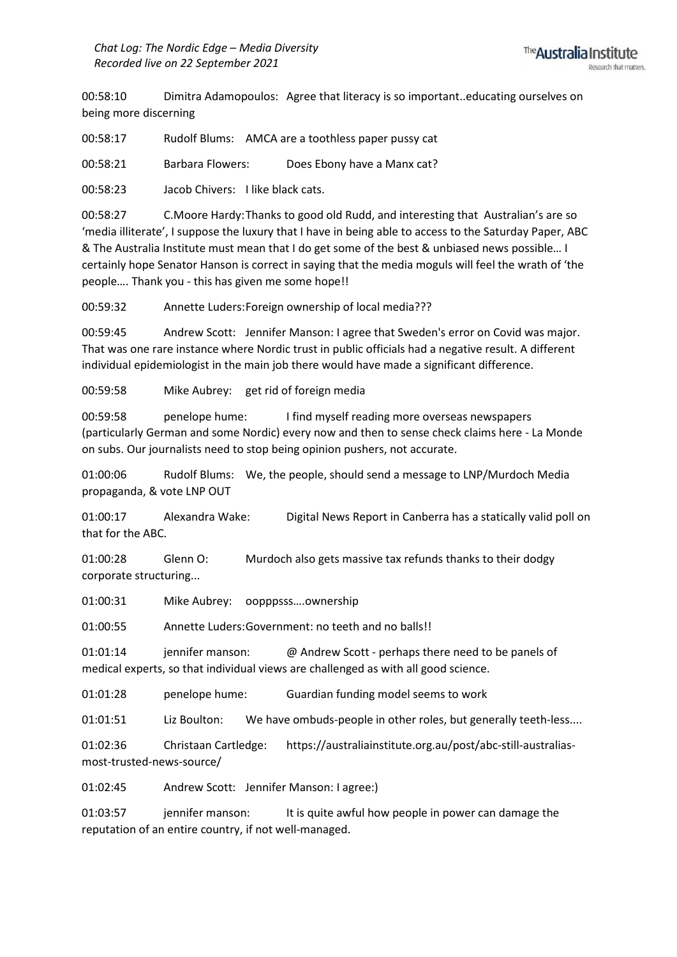00:58:10 Dimitra Adamopoulos: Agree that literacy is so important..educating ourselves on being more discerning

00:58:17 Rudolf Blums: AMCA are a toothless paper pussy cat

00:58:21 Barbara Flowers: Does Ebony have a Manx cat?

00:58:23 Jacob Chivers: I like black cats.

00:58:27 C.Moore Hardy:Thanks to good old Rudd, and interesting that Australian's are so 'media illiterate', I suppose the luxury that I have in being able to access to the Saturday Paper, ABC & The Australia Institute must mean that I do get some of the best & unbiased news possible… I certainly hope Senator Hanson is correct in saying that the media moguls will feel the wrath of 'the people…. Thank you - this has given me some hope!!

00:59:32 Annette Luders:Foreign ownership of local media???

00:59:45 Andrew Scott: Jennifer Manson: I agree that Sweden's error on Covid was major. That was one rare instance where Nordic trust in public officials had a negative result. A different individual epidemiologist in the main job there would have made a significant difference.

00:59:58 Mike Aubrey: get rid of foreign media

00:59:58 penelope hume: I find myself reading more overseas newspapers (particularly German and some Nordic) every now and then to sense check claims here - La Monde on subs. Our journalists need to stop being opinion pushers, not accurate.

01:00:06 Rudolf Blums: We, the people, should send a message to LNP/Murdoch Media propaganda, & vote LNP OUT

01:00:17 Alexandra Wake: Digital News Report in Canberra has a statically valid poll on that for the ABC.

01:00:28 Glenn O: Murdoch also gets massive tax refunds thanks to their dodgy corporate structuring...

01:00:31 Mike Aubrey: oopppsss….ownership

01:00:55 Annette Luders:Government: no teeth and no balls!!

01:01:14 jennifer manson: @ Andrew Scott - perhaps there need to be panels of medical experts, so that individual views are challenged as with all good science.

01:01:28 penelope hume: Guardian funding model seems to work

01:01:51 Liz Boulton: We have ombuds-people in other roles, but generally teeth-less....

01:02:36 Christaan Cartledge: https://australiainstitute.org.au/post/abc-still-australiasmost-trusted-news-source/

01:02:45 Andrew Scott: Jennifer Manson: I agree:)

01:03:57 jennifer manson: It is quite awful how people in power can damage the reputation of an entire country, if not well-managed.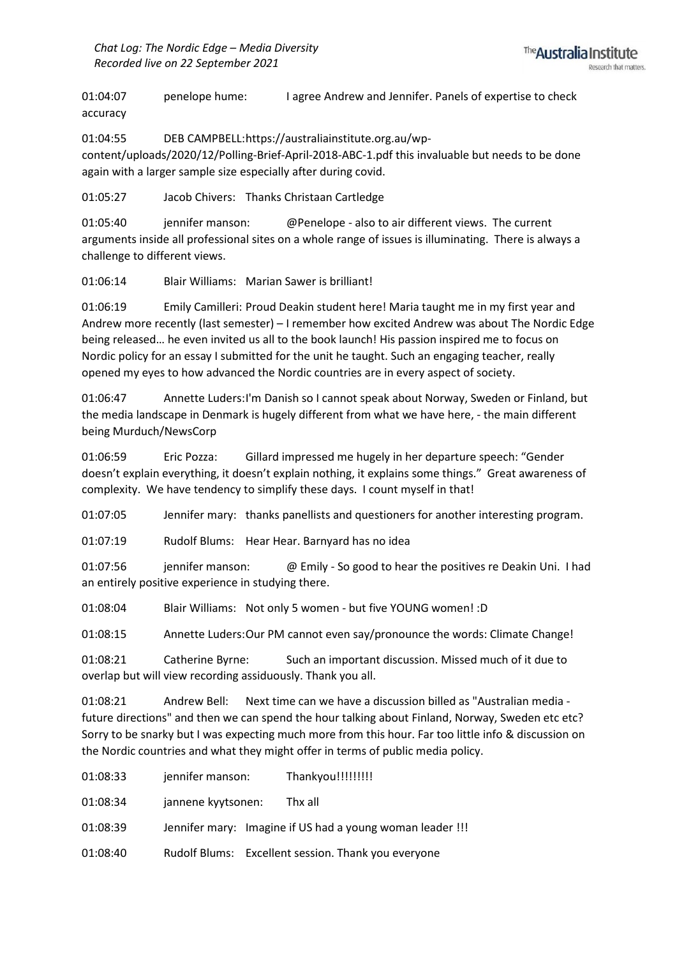01:04:07 penelope hume: I agree Andrew and Jennifer. Panels of expertise to check accuracy

01:04:55 DEB CAMPBELL:https://australiainstitute.org.au/wpcontent/uploads/2020/12/Polling-Brief-April-2018-ABC-1.pdf this invaluable but needs to be done again with a larger sample size especially after during covid.

01:05:27 Jacob Chivers: Thanks Christaan Cartledge

01:05:40 jennifer manson: @Penelope - also to air different views. The current arguments inside all professional sites on a whole range of issues is illuminating. There is always a challenge to different views.

01:06:14 Blair Williams: Marian Sawer is brilliant!

01:06:19 Emily Camilleri: Proud Deakin student here! Maria taught me in my first year and Andrew more recently (last semester) – I remember how excited Andrew was about The Nordic Edge being released… he even invited us all to the book launch! His passion inspired me to focus on Nordic policy for an essay I submitted for the unit he taught. Such an engaging teacher, really opened my eyes to how advanced the Nordic countries are in every aspect of society.

01:06:47 Annette Luders:I'm Danish so I cannot speak about Norway, Sweden or Finland, but the media landscape in Denmark is hugely different from what we have here, - the main different being Murduch/NewsCorp

01:06:59 Eric Pozza: Gillard impressed me hugely in her departure speech: "Gender doesn't explain everything, it doesn't explain nothing, it explains some things." Great awareness of complexity. We have tendency to simplify these days. I count myself in that!

01:07:05 Jennifer mary: thanks panellists and questioners for another interesting program.

01:07:19 Rudolf Blums: Hear Hear. Barnyard has no idea

01:07:56 jennifer manson: @ Emily - So good to hear the positives re Deakin Uni. I had an entirely positive experience in studying there.

01:08:04 Blair Williams: Not only 5 women - but five YOUNG women! :D

01:08:15 Annette Luders:Our PM cannot even say/pronounce the words: Climate Change!

01:08:21 Catherine Byrne: Such an important discussion. Missed much of it due to overlap but will view recording assiduously. Thank you all.

01:08:21 Andrew Bell: Next time can we have a discussion billed as "Australian media future directions" and then we can spend the hour talking about Finland, Norway, Sweden etc etc? Sorry to be snarky but I was expecting much more from this hour. Far too little info & discussion on the Nordic countries and what they might offer in terms of public media policy.

01:08:33 jennifer manson: Thankyou!!!!!!!!!!

01:08:34 jannene kyytsonen: Thx all

01:08:39 Jennifer mary: Imagine if US had a young woman leader !!!

01:08:40 Rudolf Blums: Excellent session. Thank you everyone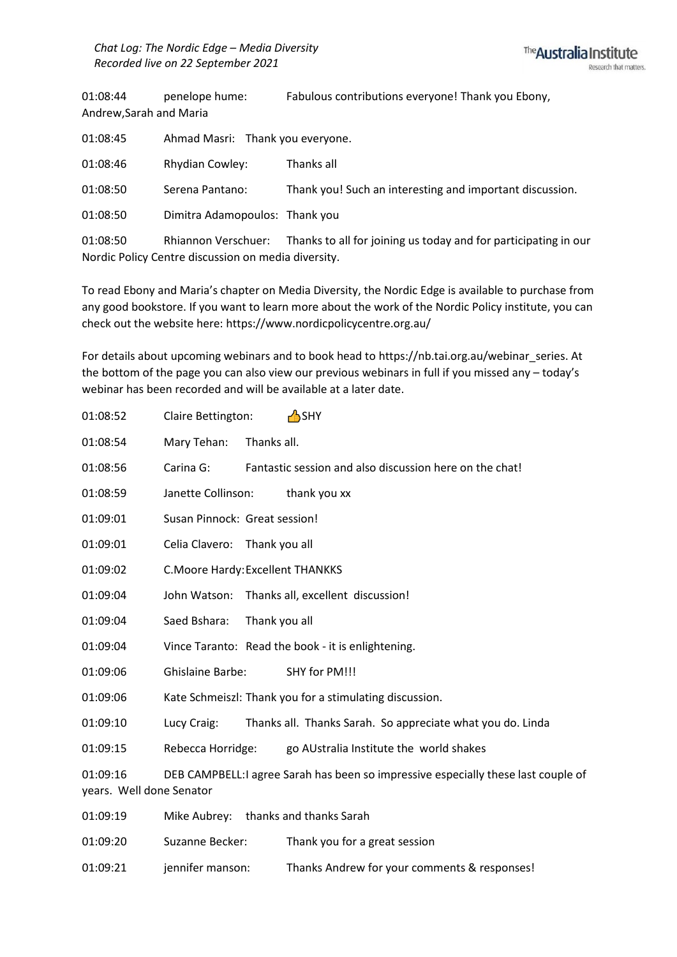01:08:44 penelope hume: Fabulous contributions everyone! Thank you Ebony, Andrew,Sarah and Maria

| 01:08:45                                            | Ahmad Masri: Thank you everyone. |                                                                 |  |  |
|-----------------------------------------------------|----------------------------------|-----------------------------------------------------------------|--|--|
| 01:08:46                                            | <b>Rhydian Cowley:</b>           | Thanks all                                                      |  |  |
| 01:08:50                                            | Serena Pantano:                  | Thank you! Such an interesting and important discussion.        |  |  |
| 01:08:50                                            | Dimitra Adamopoulos: Thank you   |                                                                 |  |  |
| 01:08:50                                            | Rhiannon Verschuer:              | Thanks to all for joining us today and for participating in our |  |  |
| Nordic Policy Centre discussion on media diversity. |                                  |                                                                 |  |  |

To read Ebony and Maria's chapter on Media Diversity, the Nordic Edge is available to purchase from any good bookstore. If you want to learn more about the work of the Nordic Policy institute, you can check out the website here: https://www.nordicpolicycentre.org.au/

For details about upcoming webinars and to book head to https://nb.tai.org.au/webinar\_series. At the bottom of the page you can also view our previous webinars in full if you missed any – today's webinar has been recorded and will be available at a later date.

| 01:08:52                             | Claire Bettington:                |               | <b>A</b> SHY                                                                      |
|--------------------------------------|-----------------------------------|---------------|-----------------------------------------------------------------------------------|
| 01:08:54                             | Mary Tehan:                       | Thanks all.   |                                                                                   |
| 01:08:56                             | Carina G:                         |               | Fantastic session and also discussion here on the chat!                           |
| 01:08:59                             | Janette Collinson:                |               | thank you xx                                                                      |
| 01:09:01                             | Susan Pinnock: Great session!     |               |                                                                                   |
| 01:09:01                             | Celia Clavero:                    | Thank you all |                                                                                   |
| 01:09:02                             | C. Moore Hardy: Excellent THANKKS |               |                                                                                   |
| 01:09:04                             | John Watson:                      |               | Thanks all, excellent discussion!                                                 |
| 01:09:04                             | Saed Bshara:                      | Thank you all |                                                                                   |
| 01:09:04                             |                                   |               | Vince Taranto: Read the book - it is enlightening.                                |
| 01:09:06                             | <b>Ghislaine Barbe:</b>           |               | SHY for PM!!!                                                                     |
| 01:09:06                             |                                   |               | Kate Schmeiszl: Thank you for a stimulating discussion.                           |
| 01:09:10                             | Lucy Craig:                       |               | Thanks all. Thanks Sarah. So appreciate what you do. Linda                        |
| 01:09:15                             | Rebecca Horridge:                 |               | go AUstralia Institute the world shakes                                           |
| 01:09:16<br>years. Well done Senator |                                   |               | DEB CAMPBELL:I agree Sarah has been so impressive especially these last couple of |
| 01:09:19                             |                                   |               | Mike Aubrey: thanks and thanks Sarah                                              |
| 01:09:20                             | Suzanne Becker:                   |               | Thank you for a great session                                                     |

01:09:21 jennifer manson: Thanks Andrew for your comments & responses!